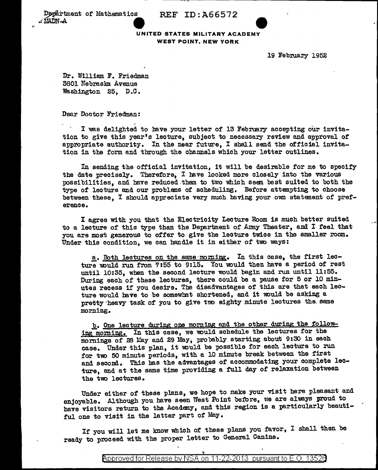Department of Mathematics REF ID:A66572



19 February 1952

Dr. William F. Friedman 5801 Nebraska Avenue Washington 25, D.O.

Dear Doctor Friedman:

I was delighted to have your letter of 13 February accepting our invitation to give this year's lecture, subject to necessary review and approval of appropriate authority. In the near future, I shall send the official invitation in the form and through the channels which your letter outlines.

In sending the official invitation, it will be desirable for me to specify the date precisely. Therefore, I bave looked more closely into the various possibilities, and have reduced them to two which seem best suited to both the type of lecture and our problems of scheduling. Before attempting to choose between these, I should appreciate very much having your own statement of preference.

I agree with you that the Electricity Lecture Room is much better suited to a lecture of this type than the Department of Army Theater, and I feel that you are most generous to ofter to give the lecture twice in the smaller room. Under this condition, we can handle it in either of two ways:

a. Both lectures on the same morning. In this case, the first lecture would run from 7:55 to 9:15. You would then have a period of rest until 10:35, when the second lecture would begin and run until 11:55. During each of these lectures, there could be a pause for 5 or 10 minutes recess if you desire. The disadvantages of this are that each lecture would have to be somewhat shortened, and it would be asking a pretty-heavy task of you to give two eighty minute lectures the same morning •

b. One lecture during one morning and the other during the following morning. In this case, we would schedule the lectures for the mornings of 28 May and 29 May, probably starting about 9:30 in each case. Under this plan, it would be possible for each lecture to run for two 50 minute periods, with a 10 minute break between the first and second. This bas the advantages of accommodating your complete lecture, and at the same time providing a full day of relaxation between the two lectures.

Under either of these plans, we hope to make your visit here pleasant and enjoyable. Although you have seen West Point before, we are always proud to have visitors return to the Academy, and this region is a particularly beautiful one to visit in the latter part of May.

If you will let me know which of these plans you favor, I shall then be ready to proceed with the proper letter to General Canine.